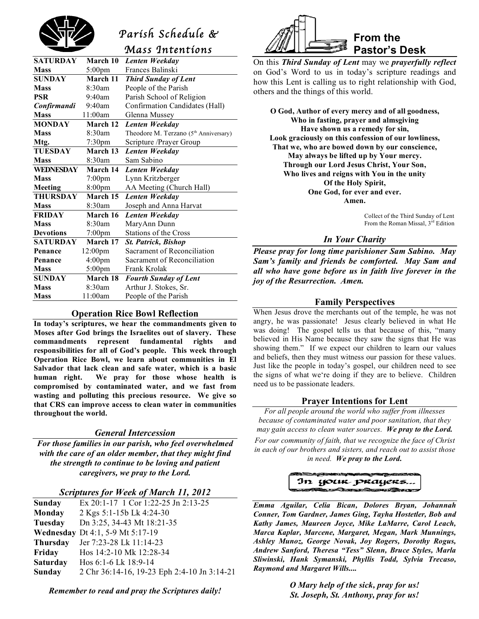

# *Parish Schedule &*

*Mass Intentions* 

| <b>SATURDAY</b>  | March 10            | Lenten Weekday                                    |
|------------------|---------------------|---------------------------------------------------|
| <b>Mass</b>      | $5:00 \text{pm}$    | Frances Balinski                                  |
| <b>SUNDAY</b>    | March 11            | <b>Third Sunday of Lent</b>                       |
| <b>Mass</b>      | 8:30am              | People of the Parish                              |
| <b>PSR</b>       | $9:40$ am           | Parish School of Religion                         |
| Confirmandi      | $9:40$ am           | Confirmation Candidates (Hall)                    |
| <b>Mass</b>      | 11:00am             | Glenna Mussey                                     |
| <b>MONDAY</b>    | March 12            | Lenten Weekday                                    |
| <b>Mass</b>      | 8:30am              | Theodore M. Terzano (5 <sup>th</sup> Anniversary) |
| Mtg.             | 7:30pm              | Scripture /Prayer Group                           |
| <b>TUESDAY</b>   | March 13            | Lenten Weekday                                    |
| <b>Mass</b>      | 8:30am              | Sam Sabino                                        |
| <b>WEDNESDAY</b> | March 14            | Lenten Weekday                                    |
| <b>Mass</b>      | $7:00 \text{pm}$    | Lynn Kritzberger                                  |
| Meeting          | $8:00 \text{pm}$    | AA Meeting (Church Hall)                          |
| THURSDAY         | March 15            | Lenten Weekday                                    |
| <b>Mass</b>      | 8:30am              | Joseph and Anna Harvat                            |
| <b>FRIDAY</b>    | March 16            | Lenten Weekday                                    |
| <b>Mass</b>      | 8:30am              | MaryAnn Dunn                                      |
| <b>Devotions</b> | $7:00$ pm           | Stations of the Cross                             |
| <b>SATURDAY</b>  | March 17            | <b>St. Patrick, Bishop</b>                        |
| Penance          | 12:00 <sub>pm</sub> | Sacrament of Reconciliation                       |
| Penance          | 4:00 <sub>pm</sub>  | Sacrament of Reconciliation                       |
| <b>Mass</b>      | 5:00pm              | Frank Krolak                                      |
| <b>SUNDAY</b>    | March 18            | <b>Fourth Sunday of Lent</b>                      |
| <b>Mass</b>      | 8:30am              | Arthur J. Stokes, Sr.                             |
| <b>Mass</b>      | 11:00am             | People of the Parish                              |
|                  |                     |                                                   |

# **Operation Rice Bowl Reflection**

**In today's scriptures, we hear the commandments given to Moses after God brings the Israelites out of slavery. These commandments represent fundamental rights and responsibilities for all of God's people. This week through Operation Rice Bowl, we learn about communities in El Salvador that lack clean and safe water, which is a basic human right. We pray for those whose health is compromised by contaminated water, and we fast from wasting and polluting this precious resource. We give so that CRS can improve access to clean water in communities throughout the world.**

# *General Intercession*

*For those families in our parish, who feel overwhelmed with the care of an older member, that they might find the strength to continue to be loving and patient caregivers, we pray to the Lord.*

#### *Scriptures for Week of March 11, 2012*

| <b>Sunday</b>   | Ex 20:1-17 1 Cor 1:22-25 Jn 2:13-25         |
|-----------------|---------------------------------------------|
| <b>Monday</b>   | 2 Kgs 5:1-15b Lk 4:24-30                    |
| Tuesday         | Dn 3:25, 34-43 Mt 18:21-35                  |
|                 | <b>Wednesday</b> Dt 4:1, 5-9 Mt 5:17-19     |
| <b>Thursday</b> | Jer 7:23-28 Lk 11:14-23                     |
| Friday          | Hos 14:2-10 Mk 12:28-34                     |
| <b>Saturday</b> | Hos $6:1-6$ Lk $18:9-14$                    |
| Sunday          | 2 Chr 36:14-16, 19-23 Eph 2:4-10 Jn 3:14-21 |



On this *Third Sunday of Lent* may we *prayerfully reflect* on God's Word to us in today's scripture readings and how this Lent is calling us to right relationship with God, others and the things of this world.

**O God, Author of every mercy and of all goodness, Who in fasting, prayer and almsgiving Have shown us a remedy for sin, Look graciously on this confession of our lowliness, That we, who are bowed down by our conscience, May always be lifted up by Your mercy. Through our Lord Jesus Christ, Your Son, Who lives and reigns with You in the unity Of the Holy Spirit, One God, for ever and ever. Amen.**

> Collect of the Third Sunday of Lent From the Roman Missal, 3<sup>rd</sup> Edition

# *In Your Charity*

*Please pray for long time parishioner Sam Sabino. May Sam's family and friends be comforted. May Sam and all who have gone before us in faith live forever in the joy of the Resurrection. Amen.*

# **Family Perspectives**

When Jesus drove the merchants out of the temple, he was not angry, he was passionate! Jesus clearly believed in what He was doing! The gospel tells us that because of this, "many believed in His Name because they saw the signs that He was showing them." If we expect our children to learn our values and beliefs, then they must witness our passion for these values. Just like the people in today's gospel, our children need to see the signs of what we're doing if they are to believe. Children need us to be passionate leaders.

# **Prayer Intentions for Lent**

*For all people around the world who suffer from illnesses because of contaminated water and poor sanitation, that they may gain access to clean water sources. We pray to the Lord.*

*For our community of faith, that we recognize the face of Christ in each of our brothers and sisters, and reach out to assist those in need. We pray to the Lord.*



*Emma Aguilar, Celia Bican, Dolores Bryan, Johannah Conner, Tom Gardner, James Ging, Tayha Hostetler, Bob and Kathy James, Maureen Joyce, Mike LaMarre, Carol Leach, Marca Kaplar, Marcene, Margaret, Megan, Mark Munnings, Ashley Munoz, George Novak, Joy Rogers, Dorothy Rogus, Andrew Sanford, Theresa "Tess" Slenn, Bruce Styles, Marla Sliwinski, Hank Symanski, Phyllis Todd, Sylvia Trecaso, Raymond and Margaret Wills....*

> *O Mary help of the sick, pray for us! St. Joseph, St. Anthony, pray for us!*

*Remember to read and pray the Scriptures daily!*